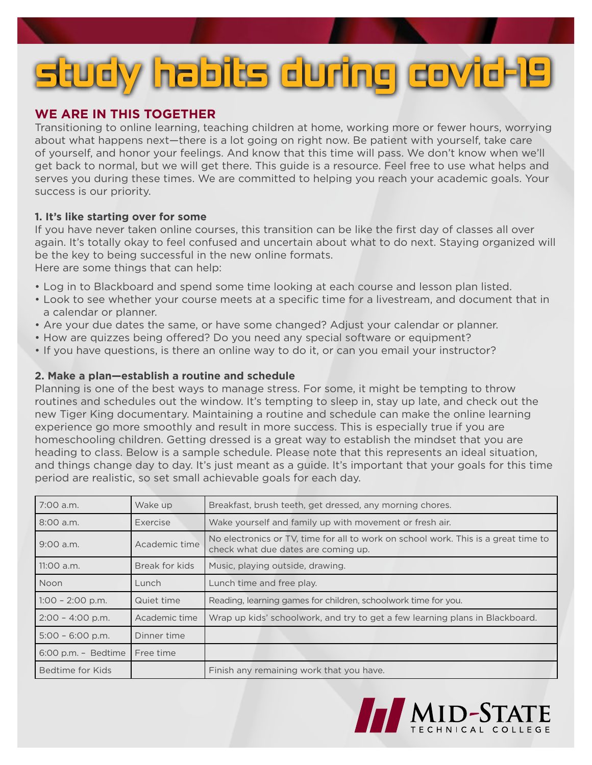# **study habits during covid-19**

# **WE ARE IN THIS TOGETHER**

Transitioning to online learning, teaching children at home, working more or fewer hours, worrying about what happens next—there is a lot going on right now. Be patient with yourself, take care of yourself, and honor your feelings. And know that this time will pass. We don't know when we'll get back to normal, but we will get there. This guide is a resource. Feel free to use what helps and serves you during these times. We are committed to helping you reach your academic goals. Your success is our priority.

# **1. It's like starting over for some**

If you have never taken online courses, this transition can be like the first day of classes all over again. It's totally okay to feel confused and uncertain about what to do next. Staying organized will be the key to being successful in the new online formats.

Here are some things that can help:

- Log in to Blackboard and spend some time looking at each course and lesson plan listed.
- Look to see whether your course meets at a specific time for a livestream, and document that in a calendar or planner.
- Are your due dates the same, or have some changed? Adjust your calendar or planner.
- How are quizzes being offered? Do you need any special software or equipment?
- If you have questions, is there an online way to do it, or can you email your instructor?

# **2. Make a plan—establish a routine and schedule**

Planning is one of the best ways to manage stress. For some, it might be tempting to throw routines and schedules out the window. It's tempting to sleep in, stay up late, and check out the new Tiger King documentary. Maintaining a routine and schedule can make the online learning experience go more smoothly and result in more success. This is especially true if you are homeschooling children. Getting dressed is a great way to establish the mindset that you are heading to class. Below is a sample schedule. Please note that this represents an ideal situation, and things change day to day. It's just meant as a guide. It's important that your goals for this time period are realistic, so set small achievable goals for each day.

| 7:00 a.m.           | Wake up        | Breakfast, brush teeth, get dressed, any morning chores.                                                                  |
|---------------------|----------------|---------------------------------------------------------------------------------------------------------------------------|
| $8:00$ a.m.         | Exercise       | Wake yourself and family up with movement or fresh air.                                                                   |
| $9:00$ a.m.         | Academic time  | No electronics or TV, time for all to work on school work. This is a great time to<br>check what due dates are coming up. |
| $11:00$ a.m.        | Break for kids | Music, playing outside, drawing.                                                                                          |
| Noon                | Lunch          | Lunch time and free play.                                                                                                 |
| $1:00 - 2:00$ p.m.  | Quiet time     | Reading, learning games for children, schoolwork time for you.                                                            |
| $2:00 - 4:00$ p.m.  | Academic time  | Wrap up kids' schoolwork, and try to get a few learning plans in Blackboard.                                              |
| $5:00 - 6:00 p.m.$  | Dinner time    |                                                                                                                           |
| 6:00 p.m. - Bedtime | Free time      |                                                                                                                           |
| Bedtime for Kids    |                | Finish any remaining work that you have.                                                                                  |